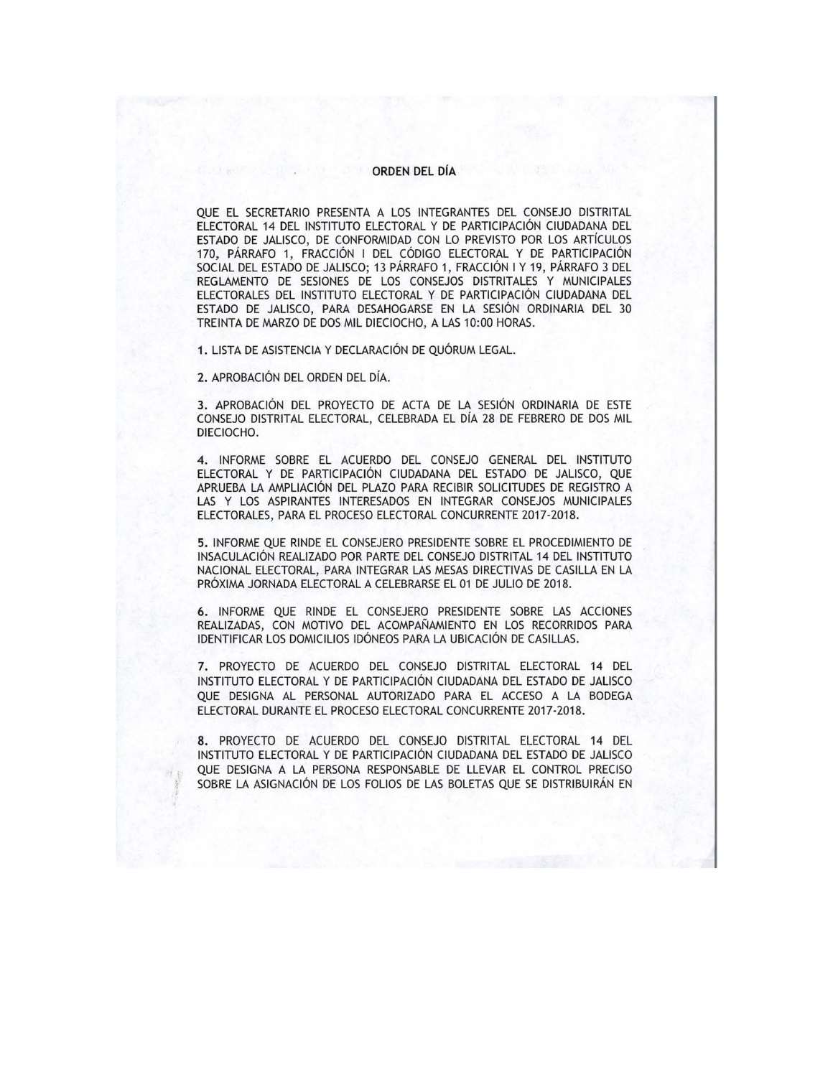## **ORDEN** DEL DÍA

QUE EL SECRETARIO PRESENTA A LOS INTEGRANTES DEL CONSEJO DISTRITAL ELECTORAL 14 DEL INSTITUTO ELECTORAL Y DE PARTICIPACIÓN CIUDADANA DEL ESTADO DE JALISCO, DE CONFORMIDAD CON LO PREVISTO POR LOS ARTÍCULOS 170, PÁRRAFO 1, FRACCIÓN I DEL CÓDIGO ELECTORAL Y DE PARTICIPACIÓN SOCIAL DEL ESTADO DE JALISCO; 13 PÁRRAFO 1, FRACCIÓN I Y 19, PÁRRAFO 3 DEL REGLAMENTO DE SESIONES DE LOS CONSEJOS DISTRITALES Y MUNICIPALES ELECTORALES DEL INSTITUTO ELECTORAL Y DE PARTICIPACIÓN CIUDADANA DEL ESTADO DE JALISCO, PARA DESAHOGARSE EN LA SESIÓN ORDINARIA DEL 30 TREINTA DE MARZO DE DOS MIL DIECIOCHO, A LAS 10:00 HORAS.

**1.** LISTA DE ASISTENCIA Y DECLARACIÓN DE QUÓRUM LEGAL.

2. APROBACIÓN DEL ORDEN DEL DÍA.

**3.** APROBACIÓN DEL PROYECTO DE ACTA DE LA SESIÓN ORDINARIA DE ESTE CONSEJO DISTRITAL ELECTORAL, CELEBRADA EL DÍA 28 DE FEBRERO DE DOS MIL DIECIOCHO.

**4.** INFORME SOBRE EL ACUERDO DEL CONSEJO GENERAL DEL INSTITUTO ELECTORAL Y DE PARTICIPACIÓN CIUDADANA DEL ESTADO DE JALISCO, QUE APRUEBA LA AMPLIACIÓN DEL PLAZO PARA RECIBIR SOLICITUDES DE REGISTRO A LAS Y LOS ASPIRANTES INTERESADOS EN INTEGRAR CONSEJOS MUNICIPALES ELECTORALES, PARA EL PROCESO ELECTORAL CONCURRENTE 2017-2018.

**5.** INFORME QUE RINDE EL CONSEJERO PRESIDENTE SOBRE EL PROCEDIMIENTO DE INSACULACIÓN REALIZADO POR PARTE DEL CONSEJO DISTRITAL 14 DEL INSTITUTO NACIONAL ELECTORAL, PARA INTEGRAR LAS MESAS DIRECTIVAS DE CASILLA EN LA PRÓXIMA JORNADA ELECTORAL A CELEBRARSE EL 01 DE JULIO DE 2018.

**6.** INFORME QUE RINDE EL CONSEJERO PRESIDENTE SOBRE LAS ACCIONES REALIZADAS, CON MOTIVO DEL ACOMPAÑAMIENTO EN LOS RECORRIDOS PARA IDENTIFICAR LOS DOMICILIOS IDÓNEOS PARA LA UBICACIÓN DE CASILLAS.

7. PROYECTO DE ACUERDO DEL CONSEJO DISTRITAL ELECTORAL 14 DEL INSTITUTO ELECTORAL Y DE PARTICIPACIÓN CIUDADANA DEL ESTADO DE JALISCO QUE DESIGNA AL PERSONAL AUTORIZADO PARA EL ACCESO A LA BODEGA ELECTORAL DURANTE EL PROCESO ELECTORAL CONCURRENTE 2017-2018.

**8.** PROYECTO DE ACUERDO DEL CONSEJO DISTRITAL ELECTORAL 14 DEL INSTITUTO ELECTORAL Y DE PARTICIPACIÓN CIUDADANA DEL ESTADO DE JALISCO QUE DESIGNA A LA PERSONA RESPONSABLE DE LLEVAR EL CONTROL PRECISO SOBRE LA ASIGNACIÓN DE LOS FOLIOS DE LAS BOLETAS QUE SE DISTRIBUIRÁN EN